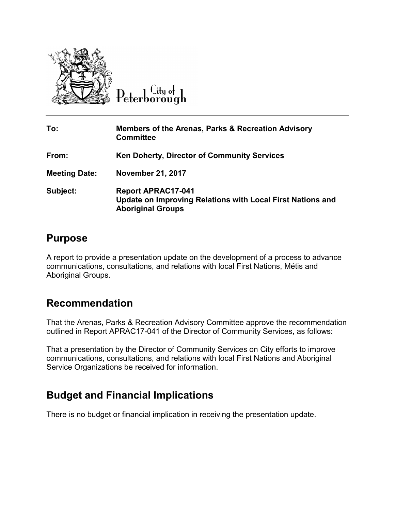

 $C$ ity of Peterborough

| To:                  | Members of the Arenas, Parks & Recreation Advisory<br><b>Committee</b>                                              |
|----------------------|---------------------------------------------------------------------------------------------------------------------|
| From:                | <b>Ken Doherty, Director of Community Services</b>                                                                  |
| <b>Meeting Date:</b> | <b>November 21, 2017</b>                                                                                            |
| Subject:             | <b>Report APRAC17-041</b><br>Update on Improving Relations with Local First Nations and<br><b>Aboriginal Groups</b> |

#### **Purpose**

A report to provide a presentation update on the development of a process to advance communications, consultations, and relations with local First Nations, Métis and Aboriginal Groups.

### **Recommendation**

That the Arenas, Parks & Recreation Advisory Committee approve the recommendation outlined in Report APRAC17-041 of the Director of Community Services, as follows:

That a presentation by the Director of Community Services on City efforts to improve communications, consultations, and relations with local First Nations and Aboriginal Service Organizations be received for information.

# **Budget and Financial Implications**

There is no budget or financial implication in receiving the presentation update.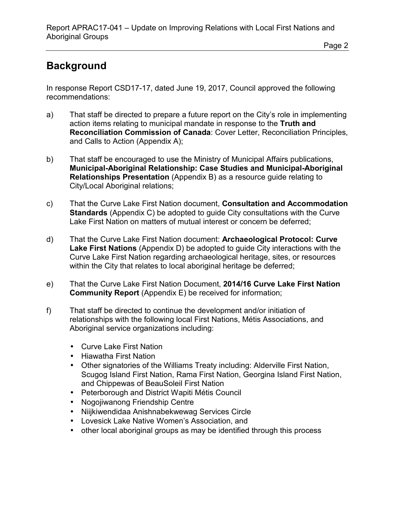#### Page 2

# **Background**

In response Report CSD17-17, dated June 19, 2017, Council approved the following recommendations:

- a) That staff be directed to prepare a future report on the City's role in implementing action items relating to municipal mandate in response to the **Truth and Reconciliation Commission of Canada**: Cover Letter, Reconciliation Principles, and Calls to Action (Appendix A);
- b) That staff be encouraged to use the Ministry of Municipal Affairs publications, **Municipal-Aboriginal Relationship: Case Studies and Municipal-Aboriginal Relationships Presentation** (Appendix B) as a resource guide relating to City/Local Aboriginal relations;
- c) That the Curve Lake First Nation document, **Consultation and Accommodation Standards** (Appendix C) be adopted to guide City consultations with the Curve Lake First Nation on matters of mutual interest or concern be deferred;
- d) That the Curve Lake First Nation document: **Archaeological Protocol: Curve Lake First Nations** (Appendix D) be adopted to guide City interactions with the Curve Lake First Nation regarding archaeological heritage, sites, or resources within the City that relates to local aboriginal heritage be deferred;
- e) That the Curve Lake First Nation Document, **2014/16 Curve Lake First Nation Community Report** (Appendix E) be received for information;
- f) That staff be directed to continue the development and/or initiation of relationships with the following local First Nations, Métis Associations, and Aboriginal service organizations including:
	- Curve Lake First Nation
	- Hiawatha First Nation
	- Other signatories of the Williams Treaty including: Alderville First Nation, Scugog Island First Nation, Rama First Nation, Georgina Island First Nation, and Chippewas of BeauSoleil First Nation
	- Peterborough and District Wapiti Métis Council
	- Nogojiwanong Friendship Centre
	- Niijkiwendidaa Anishnabekwewag Services Circle
	- Lovesick Lake Native Women's Association, and
	- other local aboriginal groups as may be identified through this process